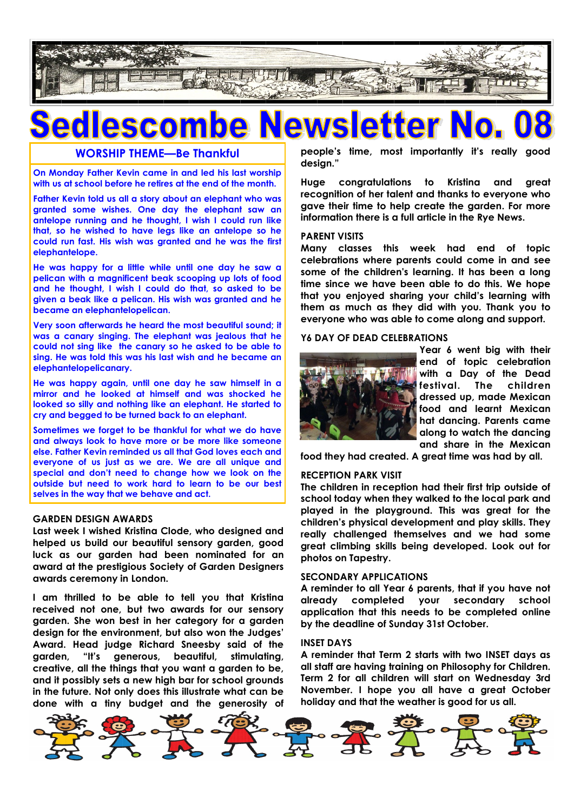

## **P** SCO

#### **WORSHIP THEME—Be Thankful**

**On Monday Father Kevin came in and led his last worship with us at school before he retires at the end of the month.**

**Father Kevin told us all a story about an elephant who was granted some wishes. One day the elephant saw an antelope running and he thought, I wish I could run like that, so he wished to have legs like an antelope so he could run fast. His wish was granted and he was the first elephantelope.**

**He was happy for a little while until one day he saw a pelican with a magnificent beak scooping up lots of food and he thought, I wish I could do that, so asked to be given a beak like a pelican. His wish was granted and he became an elephantelopelican.** 

**Very soon afterwards he heard the most beautiful sound; it was a canary singing. The elephant was jealous that he could not sing like the canary so he asked to be able to sing. He was told this was his last wish and he became an elephantelopelicanary.** 

**He was happy again, until one day he saw himself in a mirror and he looked at himself and was shocked he looked so silly and nothing like an elephant. He started to cry and begged to be turned back to an elephant.** 

**Sometimes we forget to be thankful for what we do have and always look to have more or be more like someone else. Father Kevin reminded us all that God loves each and everyone of us just as we are. We are all unique and special and don't need to change how we look on the outside but need to work hard to learn to be our best selves in the way that we behave and act.**

#### **GARDEN DESIGN AWARDS**

**Last week I wished Kristina Clode, who designed and helped us build our beautiful sensory garden, good luck as our garden had been nominated for an award at the prestigious Society of Garden Designers awards ceremony in London.**

**I am thrilled to be able to tell you that Kristina received not one, but two awards for our sensory garden. She won best in her category for a garden design for the environment, but also won the Judges' Award. Head judge Richard Sneesby said of the garden, "It's generous, beautiful, stimulating, creative, all the things that you want a garden to be, and it possibly sets a new high bar for school grounds in the future. Not only does this illustrate what can be done with a tiny budget and the generosity of**  **people's time, most importantly it's really good design."**

**Huge congratulations to Kristina and great recognition of her talent and thanks to everyone who gave their time to help create the garden. For more information there is a full article in the Rye News.**

#### **PARENT VISITS**

**Many classes this week had end of topic celebrations where parents could come in and see some of the children's learning. It has been a long time since we have been able to do this. We hope that you enjoyed sharing your child's learning with them as much as they did with you. Thank you to everyone who was able to come along and support.**

#### **Y6 DAY OF DEAD CELEBRATIONS**



**Year 6 went big with their end of topic celebration with a Day of the Dead festival. The children dressed up, made Mexican food and learnt Mexican hat dancing. Parents came along to watch the dancing and share in the Mexican** 

**food they had created. A great time was had by all.**

#### **RECEPTION PARK VISIT**

**The children in reception had their first trip outside of school today when they walked to the local park and played in the playground. This was great for the children's physical development and play skills. They really challenged themselves and we had some great climbing skills being developed. Look out for photos on Tapestry.**

#### **SECONDARY APPLICATIONS**

**A reminder to all Year 6 parents, that if you have not already completed your secondary school application that this needs to be completed online by the deadline of Sunday 31st October.**

#### **INSET DAYS**

**A reminder that Term 2 starts with two INSET days as all staff are having training on Philosophy for Children. Term 2 for all children will start on Wednesday 3rd November. I hope you all have a great October holiday and that the weather is good for us all.**